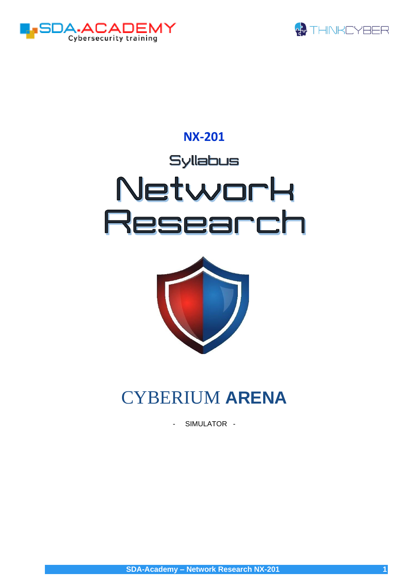



# **NX-201** Syllabus Network Research



# CYBERIUM **ARENA**

- SIMULATOR -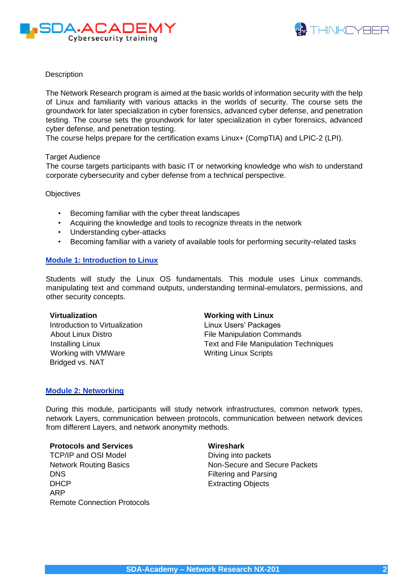



# **Description**

The Network Research program is aimed at the basic worlds of information security with the help of Linux and familiarity with various attacks in the worlds of security. The course sets the groundwork for later specialization in cyber forensics, advanced cyber defense, and penetration testing. The course sets the groundwork for later specialization in cyber forensics, advanced cyber defense, and penetration testing.

The course helps prepare for the certification exams Linux+ (CompTIA) and LPIC-2 (LPI).

#### Target Audience

The course targets participants with basic IT or networking knowledge who wish to understand corporate cybersecurity and cyber defense from a technical perspective.

**Objectives** 

- Becoming familiar with the cyber threat landscapes
- Acquiring the knowledge and tools to recognize threats in the network
- Understanding cyber-attacks
- Becoming familiar with a variety of available tools for performing security-related tasks

# **Module 1: Introduction to Linux**

Students will study the Linux OS fundamentals. This module uses Linux commands, manipulating text and command outputs, understanding terminal-emulators, permissions, and other security concepts.

#### **Virtualization**

Introduction to Virtualization About Linux Distro Installing Linux Working with VMWare Bridged vs. NAT

# **Working with Linux**

Linux Users' Packages File Manipulation Commands Text and File Manipulation Techniques Writing Linux Scripts

#### **Module 2: Networking**

During this module, participants will study network infrastructures, common network types, network Layers, communication between protocols, communication between network devices from different Layers, and network anonymity methods.

# **Protocols and Services**

TCP/IP and OSI Model Network Routing Basics DNS DHCP ARP Remote Connection Protocols

#### **Wireshark**

Diving into packets Non-Secure and Secure Packets Filtering and Parsing Extracting Objects